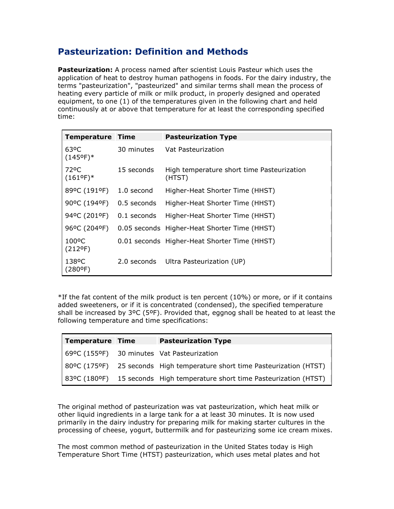## Pasteurization: Definition and Methods

Pasteurization: A process named after scientist Louis Pasteur which uses the application of heat to destroy human pathogens in foods. For the dairy industry, the terms "pasteurization", "pasteurized" and similar terms shall mean the process of heating every particle of milk or milk product, in properly designed and operated equipment, to one (1) of the temperatures given in the following chart and held continuously at or above that temperature for at least the corresponding specified time:

| <b>Temperature Time</b>                 |               | <b>Pasteurization Type</b>                           |
|-----------------------------------------|---------------|------------------------------------------------------|
| 63 <sup>o</sup> C<br>$(145^{\circ}F)^*$ | 30 minutes    | Vat Pasteurization                                   |
| 72°C<br>$(161^{\circ}F)^*$              | 15 seconds    | High temperature short time Pasteurization<br>(HTST) |
| 89°C (191°F)                            | 1.0 second    | Higher-Heat Shorter Time (HHST)                      |
| 90°C (194°F)                            | 0.5 seconds   | Higher-Heat Shorter Time (HHST)                      |
| 94ºC (201ºF)                            | $0.1$ seconds | Higher-Heat Shorter Time (HHST)                      |
| 96°C (204°F)                            |               | 0.05 seconds Higher-Heat Shorter Time (HHST)         |
| 100 <sup>o</sup> C<br>$(212^{\circ}F)$  |               | 0.01 seconds Higher-Heat Shorter Time (HHST)         |
| 138°C<br>(280ºF)                        |               | 2.0 seconds Ultra Pasteurization (UP)                |

 $*$ If the fat content of the milk product is ten percent (10%) or more, or if it contains added sweeteners, or if it is concentrated (condensed), the specified temperature shall be increased by  $3^{\circ}C$  (5°F). Provided that, eggnog shall be heated to at least the following temperature and time specifications:

| Temperature Time | <b>Pasteurization Type</b>                                                |
|------------------|---------------------------------------------------------------------------|
|                  | 69ºC (155ºF) 30 minutes Vat Pasteurization                                |
|                  | 80°C (175°F) 25 seconds High temperature short time Pasteurization (HTST) |
|                  | 83°C (180°F) 15 seconds High temperature short time Pasteurization (HTST) |

The original method of pasteurization was vat pasteurization, which heat milk or other liquid ingredients in a large tank for a at least 30 minutes. It is now used primarily in the dairy industry for preparing milk for making starter cultures in the processing of cheese, yogurt, buttermilk and for pasteurizing some ice cream mixes.

The most common method of pasteurization in the United States today is High Temperature Short Time (HTST) pasteurization, which uses metal plates and hot